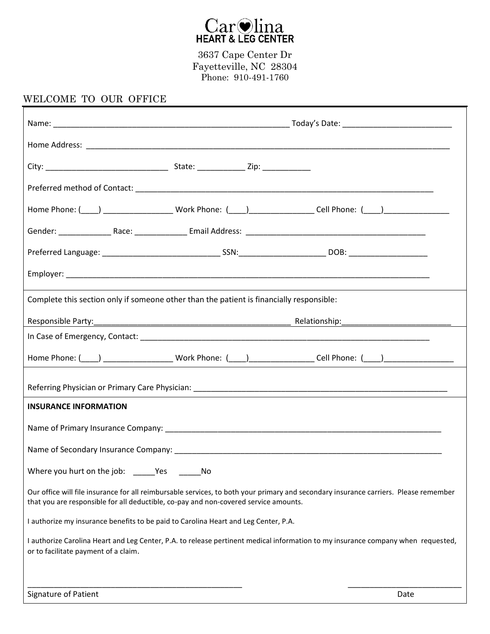

3637 Cape Center Dr Fayetteville, NC 28304 Phone: 910-491-1760

### WELCOME TO OUR OFFICE

| Complete this section only if someone other than the patient is financially responsible: |  |                                                                                                                                                                                                                                |
|------------------------------------------------------------------------------------------|--|--------------------------------------------------------------------------------------------------------------------------------------------------------------------------------------------------------------------------------|
|                                                                                          |  |                                                                                                                                                                                                                                |
|                                                                                          |  |                                                                                                                                                                                                                                |
|                                                                                          |  | Home Phone: (\eta) \Resonances_Correlation University Work Phone: (\eta) \Reconomic Correlation University Cell                                                                                                                |
|                                                                                          |  |                                                                                                                                                                                                                                |
| <b>INSURANCE INFORMATION</b>                                                             |  |                                                                                                                                                                                                                                |
|                                                                                          |  | Name of Primary Insurance Company: Name of the Company of the Company of the Company of the Company of the Company of the Company of the Company of the Company of the Company of the Company of the Company of the Company of |
|                                                                                          |  |                                                                                                                                                                                                                                |
| Where you hurt on the job: ______Yes ________No                                          |  |                                                                                                                                                                                                                                |
| that you are responsible for all deductible, co-pay and non-covered service amounts.     |  | Our office will file insurance for all reimbursable services, to both your primary and secondary insurance carriers. Please remember                                                                                           |
| I authorize my insurance benefits to be paid to Carolina Heart and Leg Center, P.A.      |  |                                                                                                                                                                                                                                |
| or to facilitate payment of a claim.                                                     |  | I authorize Carolina Heart and Leg Center, P.A. to release pertinent medical information to my insurance company when requested,                                                                                               |
|                                                                                          |  |                                                                                                                                                                                                                                |
| Signature of Patient                                                                     |  | Date                                                                                                                                                                                                                           |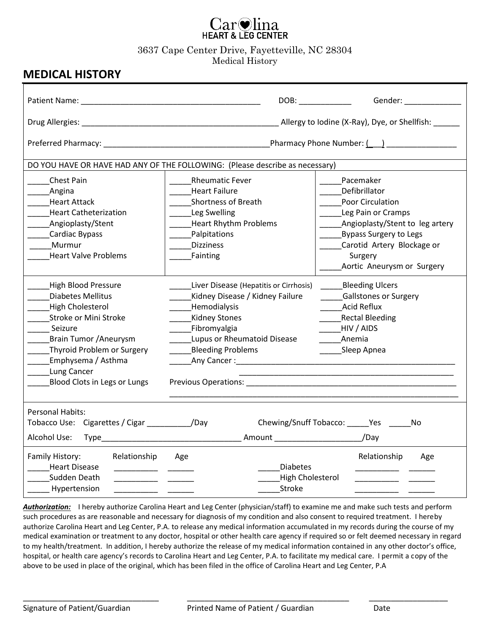# Car**v**lina

#### 3637 Cape Center Drive, Fayetteville, NC 28304

Medical History

### **MEDICAL HISTORY**

|                                                                                                                                                                                                                                                                  |                                                                                                                                                                                                                                                                                                                                                                                                                                                                                                                                                        | DOB: the contract of the contract of the contract of the contract of the contract of the contract of the contract of the contract of the contract of the contract of the contract of the contract of the contract of the contr<br>Gender: New York Control of the Control of the Control of the Control of the Control of the Control of the Control of the Control of the Control of the Control of the Control of the Control of the Control of the Control of |  |  |  |  |
|------------------------------------------------------------------------------------------------------------------------------------------------------------------------------------------------------------------------------------------------------------------|--------------------------------------------------------------------------------------------------------------------------------------------------------------------------------------------------------------------------------------------------------------------------------------------------------------------------------------------------------------------------------------------------------------------------------------------------------------------------------------------------------------------------------------------------------|------------------------------------------------------------------------------------------------------------------------------------------------------------------------------------------------------------------------------------------------------------------------------------------------------------------------------------------------------------------------------------------------------------------------------------------------------------------|--|--|--|--|
|                                                                                                                                                                                                                                                                  | _ Allergy to Iodine (X-Ray), Dye, or Shellfish: ____                                                                                                                                                                                                                                                                                                                                                                                                                                                                                                   |                                                                                                                                                                                                                                                                                                                                                                                                                                                                  |  |  |  |  |
|                                                                                                                                                                                                                                                                  |                                                                                                                                                                                                                                                                                                                                                                                                                                                                                                                                                        |                                                                                                                                                                                                                                                                                                                                                                                                                                                                  |  |  |  |  |
|                                                                                                                                                                                                                                                                  | DO YOU HAVE OR HAVE HAD ANY OF THE FOLLOWING: (Please describe as necessary)                                                                                                                                                                                                                                                                                                                                                                                                                                                                           |                                                                                                                                                                                                                                                                                                                                                                                                                                                                  |  |  |  |  |
| Chest Pain<br>Angina<br><b>Heart Attack</b><br><b>Heart Catheterization</b><br>Angioplasty/Stent<br>Cardiac Bypass<br>Murmur<br><b>Heart Valve Problems</b>                                                                                                      | <b>Rheumatic Fever</b><br><b>Heart Failure</b><br><b>Shortness of Breath</b><br>Leg Swelling<br><b>Heart Rhythm Problems</b><br>Palpitations<br><b>Dizziness</b><br>Fainting                                                                                                                                                                                                                                                                                                                                                                           | Pacemaker<br>Defibrillator<br>Poor Circulation<br>Leg Pain or Cramps<br>Angioplasty/Stent to leg artery<br><b>Bypass Surgery to Legs</b><br>Carotid Artery Blockage or<br>Surgery<br>Aortic Aneurysm or Surgery                                                                                                                                                                                                                                                  |  |  |  |  |
| <b>High Blood Pressure</b><br><b>Diabetes Mellitus</b><br><b>High Cholesterol</b><br>Stroke or Mini Stroke<br>Seizure<br><b>Brain Tumor / Aneurysm</b><br>Thyroid Problem or Surgery<br>Emphysema / Asthma<br>Lung Cancer<br><b>Blood Clots in Legs or Lungs</b> | Liver Disease (Hepatitis or Cirrhosis)<br>Kidney Disease / Kidney Failure<br>Hemodialysis<br><b>Kidney Stones</b><br>Fibromyalgia<br><b>Lupus or Rheumatoid Disease</b><br><b>Bleeding Problems</b><br>Any Cancer: Any Cancer Management of the Cancer Management of the Cancer Management of the Cancer Management of the Cancer Management of the Cancer Management of the Cancer Management of the Cancer Management of the Cancer<br>Previous Operations: Note and the contract of the contract of the contract of the contract of the contract of | _______Bleeding Ulcers<br><b>Gallstones or Surgery</b><br><b>Acid Reflux</b><br><b>Rectal Bleeding</b><br>HIV / AIDS<br>Anemia<br>Sleep Apnea                                                                                                                                                                                                                                                                                                                    |  |  |  |  |
| Personal Habits:<br>Tobacco Use: Cigarettes / Cigar ___________/Day<br>Alcohol Use:<br>Type                                                                                                                                                                      | Amount                                                                                                                                                                                                                                                                                                                                                                                                                                                                                                                                                 | Chewing/Snuff Tobacco: ______ Yes _____<br>No<br>/Day                                                                                                                                                                                                                                                                                                                                                                                                            |  |  |  |  |
| Family History:<br>Relationship<br><b>Heart Disease</b><br>Sudden Death<br>Hypertension                                                                                                                                                                          | Age<br><b>Diabetes</b><br>High Cholesterol<br>Stroke                                                                                                                                                                                                                                                                                                                                                                                                                                                                                                   | Relationship<br>Age                                                                                                                                                                                                                                                                                                                                                                                                                                              |  |  |  |  |

*Authorization:* I hereby authorize Carolina Heart and Leg Center (physician/staff) to examine me and make such tests and perform such procedures as are reasonable and necessary for diagnosis of my condition and also consent to required treatment. I hereby authorize Carolina Heart and Leg Center, P.A. to release any medical information accumulated in my records during the course of my medical examination or treatment to any doctor, hospital or other health care agency if required so or felt deemed necessary in regard to my health/treatment. In addition, I hereby authorize the release of my medical information contained in any other doctor's office, hospital, or health care agency's records to Carolina Heart and Leg Center, P.A. to facilitate my medical care. I permit a copy of the above to be used in place of the original, which has been filed in the office of Carolina Heart and Leg Center, P.A

\_\_\_\_\_\_\_\_\_\_\_\_\_\_\_\_\_\_\_\_\_\_\_\_\_\_\_\_\_\_\_ \_\_\_\_\_\_\_\_\_\_\_\_\_\_\_\_\_\_\_\_\_\_\_\_\_\_\_\_\_\_\_\_\_\_\_\_\_ \_\_\_\_\_\_\_\_\_\_\_\_\_\_\_\_\_\_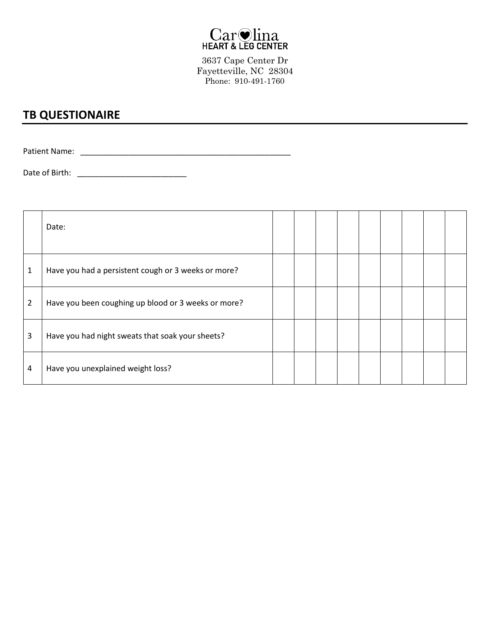

3637 Cape Center Dr Fayetteville, NC 28304 Phone: 910-491-1760

## **TB QUESTIONAIRE**

Patient Name: \_\_\_\_\_\_\_\_\_\_\_\_\_\_\_\_\_\_\_\_\_\_\_\_\_\_\_\_\_\_\_\_\_\_\_\_\_\_\_\_\_\_\_\_\_\_\_\_

Date of Birth: \_\_\_\_\_\_\_\_\_\_\_\_\_\_\_\_\_\_\_\_\_\_\_\_\_

|   | Date:                                               |  |  |  |  |  |
|---|-----------------------------------------------------|--|--|--|--|--|
| 1 | Have you had a persistent cough or 3 weeks or more? |  |  |  |  |  |
| 2 | Have you been coughing up blood or 3 weeks or more? |  |  |  |  |  |
| 3 | Have you had night sweats that soak your sheets?    |  |  |  |  |  |
| 4 | Have you unexplained weight loss?                   |  |  |  |  |  |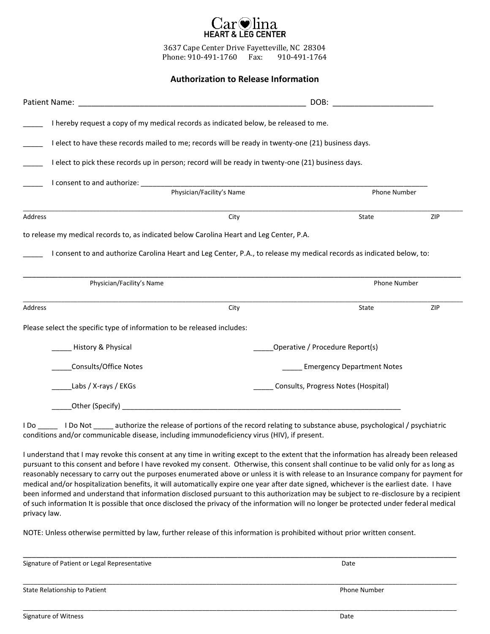## **HEART & LEG CENTER**

3637 Cape Center Drive Fayetteville, NC 28304 Phone: 910-491-1760 Fax: 910-491-1764

#### **Authorization to Release Information**

|                                                                                          |                                                                                                                       | DOB:                                |     |  |
|------------------------------------------------------------------------------------------|-----------------------------------------------------------------------------------------------------------------------|-------------------------------------|-----|--|
|                                                                                          | I hereby request a copy of my medical records as indicated below, be released to me.                                  |                                     |     |  |
|                                                                                          | I elect to have these records mailed to me; records will be ready in twenty-one (21) business days.                   |                                     |     |  |
|                                                                                          | I elect to pick these records up in person; record will be ready in twenty-one (21) business days.                    |                                     |     |  |
|                                                                                          | Physician/Facility's Name                                                                                             | <b>Phone Number</b>                 |     |  |
| Address                                                                                  | City                                                                                                                  | State                               | ZIP |  |
| to release my medical records to, as indicated below Carolina Heart and Leg Center, P.A. |                                                                                                                       |                                     |     |  |
|                                                                                          | I consent to and authorize Carolina Heart and Leg Center, P.A., to release my medical records as indicated below, to: |                                     |     |  |
| Physician/Facility's Name                                                                |                                                                                                                       | Phone Number                        |     |  |
| Address                                                                                  | City                                                                                                                  | State                               | ZIP |  |
| Please select the specific type of information to be released includes:                  |                                                                                                                       |                                     |     |  |
| History & Physical                                                                       |                                                                                                                       | Operative / Procedure Report(s)     |     |  |
| Consults/Office Notes                                                                    |                                                                                                                       | <b>Emergency Department Notes</b>   |     |  |
| Labs / X-rays / EKGs                                                                     |                                                                                                                       | Consults, Progress Notes (Hospital) |     |  |
| Other (Specify)                                                                          |                                                                                                                       |                                     |     |  |

I Do \_\_\_\_ I Do Not \_\_\_\_\_ authorize the release of portions of the record relating to substance abuse, psychological / psychiatric conditions and/or communicable disease, including immunodeficiency virus (HIV), if present.

I understand that I may revoke this consent at any time in writing except to the extent that the information has already been released pursuant to this consent and before I have revoked my consent. Otherwise, this consent shall continue to be valid only for as long as reasonably necessary to carry out the purposes enumerated above or unless it is with release to an Insurance company for payment for medical and/or hospitalization benefits, it will automatically expire one year after date signed, whichever is the earliest date. I have been informed and understand that information disclosed pursuant to this authorization may be subject to re-disclosure by a recipient of such information It is possible that once disclosed the privacy of the information will no longer be protected under federal medical privacy law.

NOTE: Unless otherwise permitted by law, further release of this information is prohibited without prior written consent.

| Signature of Patient or Legal Representative | Date                |
|----------------------------------------------|---------------------|
| State Relationship to Patient                | <b>Phone Number</b> |
| Signature of Witness                         | Date                |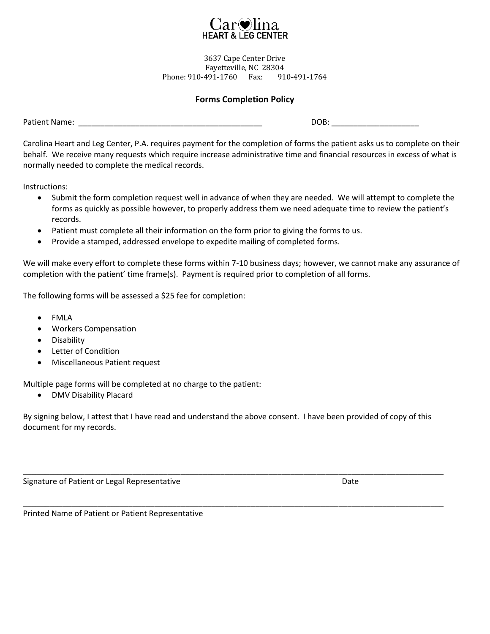

3637 Cape Center Drive Fayetteville, NC 28304 Phone: 910-491-1760 Fax: 910-491-1764

#### **Forms Completion Policy**

Patient Name: \_\_\_\_\_\_\_\_\_\_\_\_\_\_\_\_\_\_\_\_\_\_\_\_\_\_\_\_\_\_\_\_\_\_\_\_\_\_\_\_\_\_ DOB: \_\_\_\_\_\_\_\_\_\_\_\_\_\_\_\_\_\_\_\_

Carolina Heart and Leg Center, P.A. requires payment for the completion of forms the patient asks us to complete on their behalf. We receive many requests which require increase administrative time and financial resources in excess of what is normally needed to complete the medical records.

Instructions:

- Submit the form completion request well in advance of when they are needed. We will attempt to complete the forms as quickly as possible however, to properly address them we need adequate time to review the patient's records.
- Patient must complete all their information on the form prior to giving the forms to us.
- Provide a stamped, addressed envelope to expedite mailing of completed forms.

We will make every effort to complete these forms within 7-10 business days; however, we cannot make any assurance of completion with the patient' time frame(s). Payment is required prior to completion of all forms.

The following forms will be assessed a \$25 fee for completion:

- FMLA
- Workers Compensation
- Disability
- Letter of Condition
- Miscellaneous Patient request

Multiple page forms will be completed at no charge to the patient:

• DMV Disability Placard

By signing below, I attest that I have read and understand the above consent. I have been provided of copy of this document for my records.

\_\_\_\_\_\_\_\_\_\_\_\_\_\_\_\_\_\_\_\_\_\_\_\_\_\_\_\_\_\_\_\_\_\_\_\_\_\_\_\_\_\_\_\_\_\_\_\_\_\_\_\_\_\_\_\_\_\_\_\_\_\_\_\_\_\_\_\_\_\_\_\_\_\_\_\_\_\_\_\_\_\_\_\_\_\_\_\_\_\_\_\_\_\_\_\_

\_\_\_\_\_\_\_\_\_\_\_\_\_\_\_\_\_\_\_\_\_\_\_\_\_\_\_\_\_\_\_\_\_\_\_\_\_\_\_\_\_\_\_\_\_\_\_\_\_\_\_\_\_\_\_\_\_\_\_\_\_\_\_\_\_\_\_\_\_\_\_\_\_\_\_\_\_\_\_\_\_\_\_\_\_\_\_\_\_\_\_\_\_\_\_\_

Signature of Patient or Legal Representative Date Date Date Date

Printed Name of Patient or Patient Representative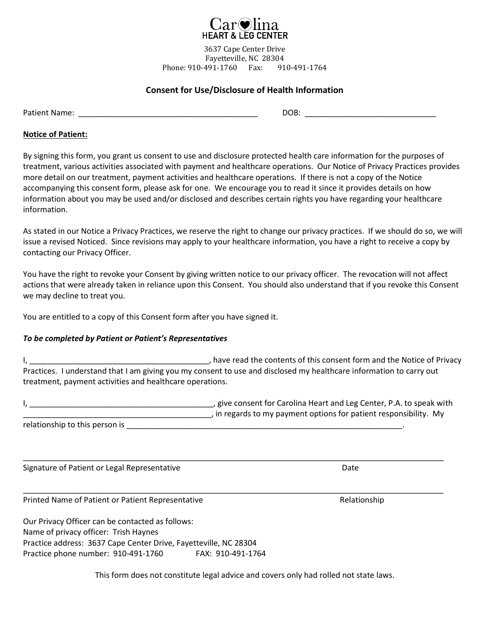

3637 Cape Center Drive Fayetteville, NC 28304 Phone: 910-491-1760 Fax: 910-491-1764

#### **Consent for Use/Disclosure of Health Information**

Patient Name:  $\Box$  DOB:  $\Box$  DOB:  $\Box$ 

#### **Notice of Patient:**

By signing this form, you grant us consent to use and disclosure protected health care information for the purposes of treatment, various activities associated with payment and healthcare operations. Our Notice of Privacy Practices provides more detail on our treatment, payment activities and healthcare operations. If there is not a copy of the Notice accompanying this consent form, please ask for one. We encourage you to read it since it provides details on how information about you may be used and/or disclosed and describes certain rights you have regarding your healthcare information.

As stated in our Notice a Privacy Practices, we reserve the right to change our privacy practices. If we should do so, we will issue a revised Noticed. Since revisions may apply to your healthcare information, you have a right to receive a copy by contacting our Privacy Officer.

You have the right to revoke your Consent by giving written notice to our privacy officer. The revocation will not affect actions that were already taken in reliance upon this Consent. You should also understand that if you revoke this Consent we may decline to treat you.

You are entitled to a copy of this Consent form after you have signed it.

#### *To be completed by Patient or Patient's Representatives*

I, \_\_\_\_\_\_\_\_\_\_\_\_\_\_\_\_\_\_\_\_\_\_\_\_\_\_\_\_\_\_\_\_\_\_\_\_\_\_\_\_\_, have read the contents of this consent form and the Notice of Privacy Practices. I understand that I am giving you my consent to use and disclosed my healthcare information to carry out treatment, payment activities and healthcare operations.

|                                | , give consent for Carolina Heart and Leg Center, P.A. to speak with |
|--------------------------------|----------------------------------------------------------------------|
|                                | , in regards to my payment options for patient responsibility. My    |
| relationship to this person is |                                                                      |

\_\_\_\_\_\_\_\_\_\_\_\_\_\_\_\_\_\_\_\_\_\_\_\_\_\_\_\_\_\_\_\_\_\_\_\_\_\_\_\_\_\_\_\_\_\_\_\_\_\_\_\_\_\_\_\_\_\_\_\_\_\_\_\_\_\_\_\_\_\_\_\_\_\_\_\_\_\_\_\_\_\_\_\_\_\_\_\_\_\_\_\_\_\_\_\_

\_\_\_\_\_\_\_\_\_\_\_\_\_\_\_\_\_\_\_\_\_\_\_\_\_\_\_\_\_\_\_\_\_\_\_\_\_\_\_\_\_\_\_\_\_\_\_\_\_\_\_\_\_\_\_\_\_\_\_\_\_\_\_\_\_\_\_\_\_\_\_\_\_\_\_\_\_\_\_\_\_\_\_\_\_\_\_\_\_\_\_\_\_\_\_\_

Signature of Patient or Legal Representative Date Date Date Date

Printed Name of Patient or Patient Representative **Relationship** Relationship

Our Privacy Officer can be contacted as follows: Name of privacy officer: Trish Haynes Practice address: 3637 Cape Center Drive, Fayetteville, NC 28304 Practice phone number: 910-491-1760 FAX: 910-491-1764

This form does not constitute legal advice and covers only had rolled not state laws.